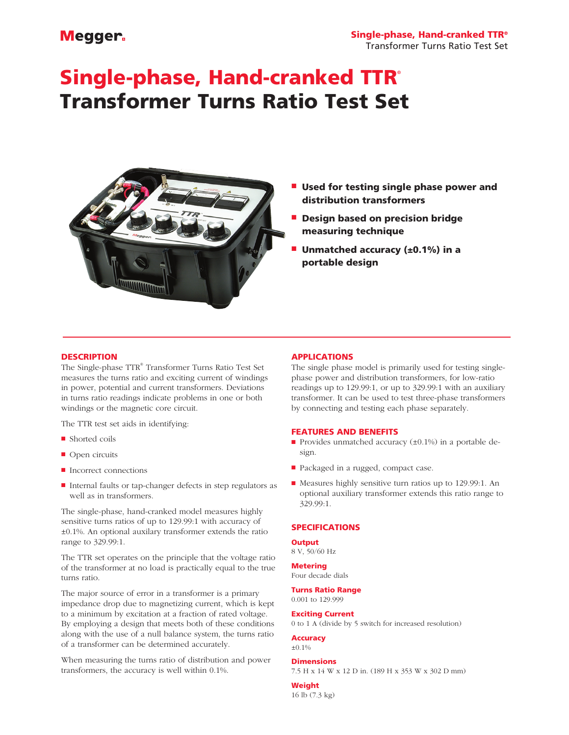# Megger.

# Single-phase, Hand-cranked TTR® Transformer Turns Ratio Test Set



- **Used for testing single phase power and** distribution transformers
- **n** Design based on precision bridge measuring technique
- **Unmatched accuracy (** $\pm$ **0.1%) in a** portable design

## **DESCRIPTION**

The Single-phase TTR® Transformer Turns Ratio Test Set measures the turns ratio and exciting current of windings in power, potential and current transformers. Deviations in turns ratio readings indicate problems in one or both windings or the magnetic core circuit.

The TTR test set aids in identifying:

- $\blacksquare$  Shorted coils
- $\Box$  Open circuits
- $\blacksquare$  Incorrect connections
- Internal faults or tap-changer defects in step regulators as well as in transformers.

The single-phase, hand-cranked model measures highly sensitive turns ratios of up to 129.99:1 with accuracy of ±0.1%. An optional auxilary transformer extends the ratio range to 329.99:1.

The TTR set operates on the principle that the voltage ratio of the transformer at no load is practically equal to the true turns ratio.

The major source of error in a transformer is a primary impedance drop due to magnetizing current, which is kept to a minimum by excitation at a fraction of rated voltage. By employing a design that meets both of these conditions along with the use of a null balance system, the turns ratio of a transformer can be determined accurately.

When measuring the turns ratio of distribution and power transformers, the accuracy is well within 0.1%.

# APPLICATIONS

The single phase model is primarily used for testing singlephase power and distribution transformers, for low-ratio readings up to 129.99:1, or up to 329.99:1 with an auxiliary transformer. It can be used to test three-phase transformers by connecting and testing each phase separately.

#### FEATURES AND BENEFITS

- Provides unmatched accuracy  $(\pm 0.1\%)$  in a portable design.
- Packaged in a rugged, compact case.
- Measures highly sensitive turn ratios up to 129.99:1. An optional auxiliary transformer extends this ratio range to 329.99:1.

# SPECIFICATIONS

#### **Output**

8 V, 50/60 Hz

# Metering

Four decade dials

#### Turns Ratio Range 0.001 to 129.999

Exciting Current

0 to 1 A (divide by 5 switch for increased resolution)

#### Accuracy

 $±0.1%$ 

# **Dimensions**

7.5 H x 14 W x 12 D in. (189 H x 353 W x 302 D mm)

#### Weight

16 lb (7.3 kg)